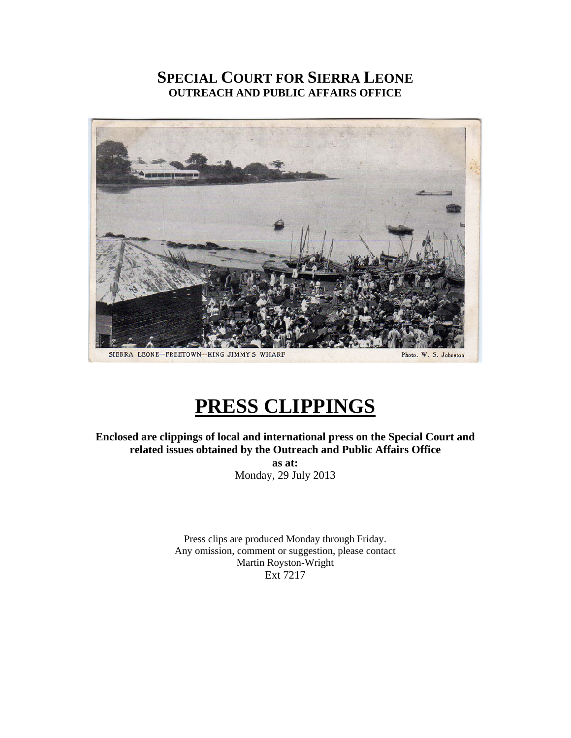## **SPECIAL COURT FOR SIERRA LEONE OUTREACH AND PUBLIC AFFAIRS OFFICE**



# **PRESS CLIPPINGS**

**Enclosed are clippings of local and international press on the Special Court and related issues obtained by the Outreach and Public Affairs Office as at:**  Monday, 29 July 2013

> Press clips are produced Monday through Friday. Any omission, comment or suggestion, please contact Martin Royston-Wright Ext 7217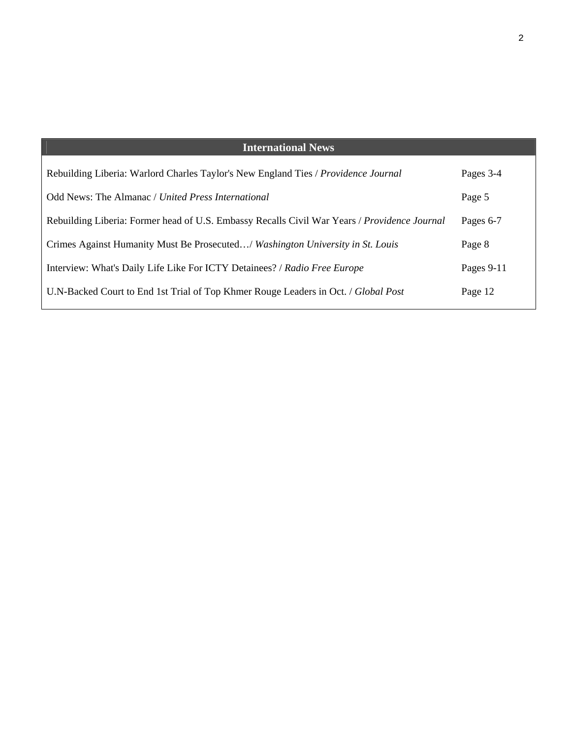| <b>International News</b>                                                                    |            |
|----------------------------------------------------------------------------------------------|------------|
| Rebuilding Liberia: Warlord Charles Taylor's New England Ties / Providence Journal           | Pages 3-4  |
| Odd News: The Almanac / United Press International                                           | Page 5     |
| Rebuilding Liberia: Former head of U.S. Embassy Recalls Civil War Years / Providence Journal | Pages 6-7  |
| Crimes Against Humanity Must Be Prosecuted/ Washington University in St. Louis               | Page 8     |
| Interview: What's Daily Life Like For ICTY Detainees? / Radio Free Europe                    | Pages 9-11 |
| U.N-Backed Court to End 1st Trial of Top Khmer Rouge Leaders in Oct. / Global Post           | Page 12    |
|                                                                                              |            |

2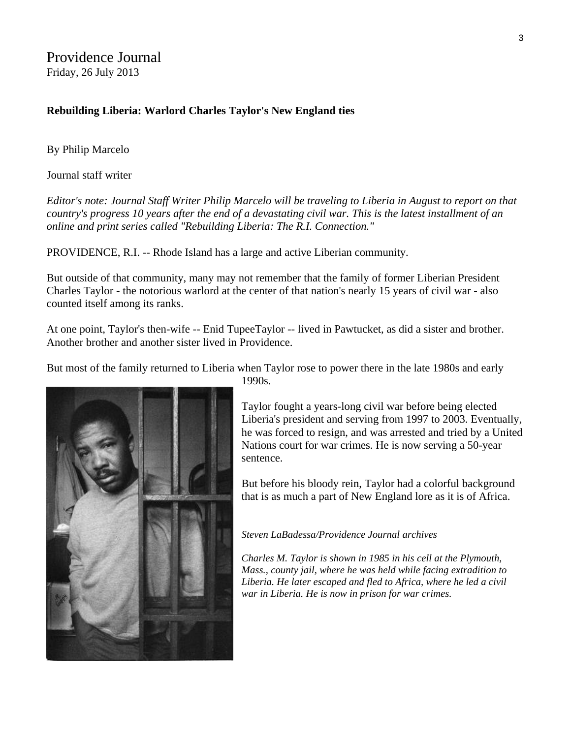### **Rebuilding Liberia: Warlord Charles Taylor's New England ties**

By Philip Marcelo

Journal staff writer

*Editor's note: Journal Staff Writer Philip Marcelo will be traveling to Liberia in August to report on that country's progress 10 years after the end of a devastating civil war. This is the latest installment of an online and print series called "Rebuilding Liberia: The R.I. Connection."* 

PROVIDENCE, R.I. -- Rhode Island has a large and active Liberian community.

But outside of that community, many may not remember that the family of former Liberian President Charles Taylor - the notorious warlord at the center of that nation's nearly 15 years of civil war - also counted itself among its ranks.

At one point, Taylor's then-wife -- Enid TupeeTaylor -- lived in Pawtucket, as did a sister and brother. Another brother and another sister lived in Providence.

But most of the family returned to Liberia when Taylor rose to power there in the late 1980s and early



1990s.

Taylor fought a years-long civil war before being elected Liberia's president and serving from 1997 to 2003. Eventually, he was forced to resign, and was arrested and tried by a U nited Nations court for war crimes. He is now serving a 50-year sentence.

But before his bloody rein, Taylor had a colorful background that is as much a part of New England lore as it is of Africa.

#### *Steven LaBadessa/Providence Journal archives*

*Charles M. Taylor is shown in 1985 in his cell at the Plymouth, Mass., county jail, where he was held while facing extradition to Liberia. He later escaped and fled to Africa, where he led a civil war in Liberia. He is now in prison for war crimes.*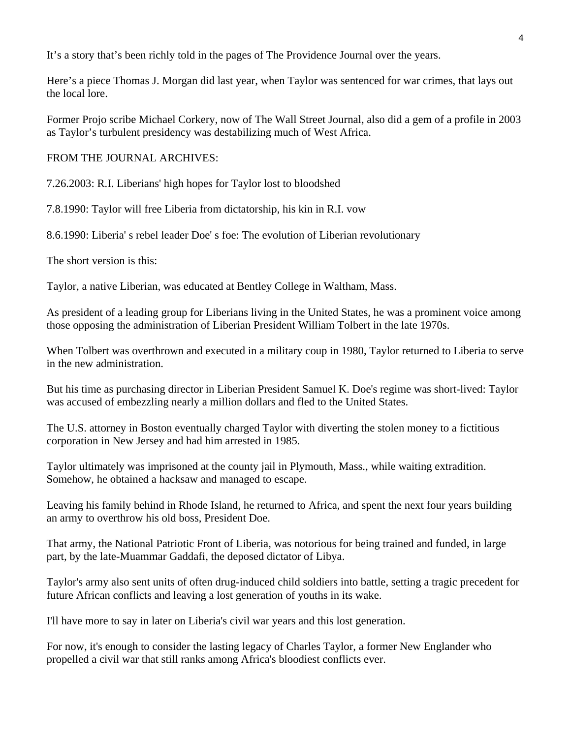It's a story that's been richly told in the pages of The Providence Journal over the years.

Here's a piece Thomas J. Morgan did last year, when Taylor was sentenced for war crimes, that lays out the local lore.

Former Projo scribe Michael Corkery, now of The Wall Street Journal, also did a gem of a profile in 2003 as Taylor's turbulent presidency was destabilizing much of West Africa.

FROM THE JOURNAL ARCHIVES:

7.26.2003: R.I. Liberians' high hopes for Taylor lost to bloodshed

7.8.1990: Taylor will free Liberia from dictatorship, his kin in R.I. vow

8.6.1990: Liberia' s rebel leader Doe' s foe: The evolution of Liberian revolutionary

The short version is this:

Taylor, a native Liberian, was educated at Bentley College in Waltham, Mass.

As president of a leading group for Liberians living in the United States, he was a prominent voice among those opposing the administration of Liberian President William Tolbert in the late 1970s.

When Tolbert was overthrown and executed in a military coup in 1980, Taylor returned to Liberia to serve in the new administration.

But his time as purchasing director in Liberian President Samuel K. Doe's regime was short-lived: Taylor was accused of embezzling nearly a million dollars and fled to the United States.

The U.S. attorney in Boston eventually charged Taylor with diverting the stolen money to a fictitious corporation in New Jersey and had him arrested in 1985.

Taylor ultimately was imprisoned at the county jail in Plymouth, Mass., while waiting extradition. Somehow, he obtained a hacksaw and managed to escape.

Leaving his family behind in Rhode Island, he returned to Africa, and spent the next four years building an army to overthrow his old boss, President Doe.

That army, the National Patriotic Front of Liberia, was notorious for being trained and funded, in large part, by the late-Muammar Gaddafi, the deposed dictator of Libya.

Taylor's army also sent units of often drug-induced child soldiers into battle, setting a tragic precedent for future African conflicts and leaving a lost generation of youths in its wake.

I'll have more to say in later on Liberia's civil war years and this lost generation.

For now, it's enough to consider the lasting legacy of Charles Taylor, a former New Englander who propelled a civil war that still ranks among Africa's bloodiest conflicts ever.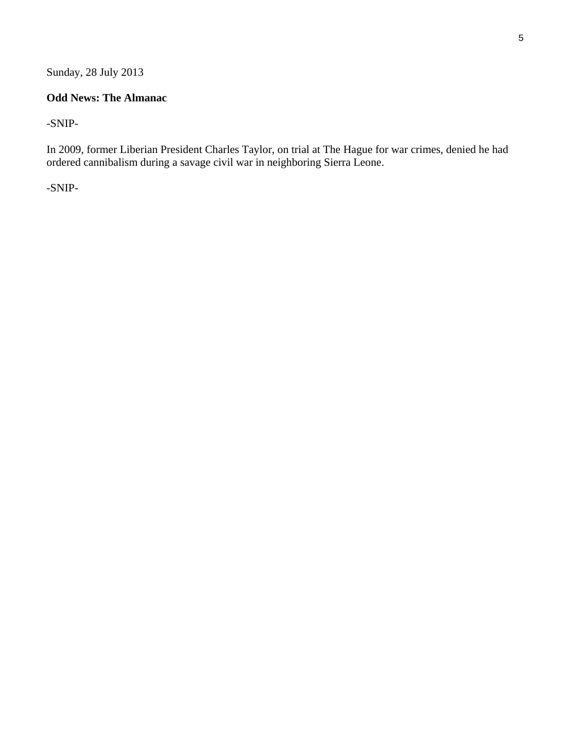Sunday, 28 July 2013

### **Odd News: The Almanac**

-SNIP-

In 2009, former Liberian President Charles Taylor, on trial at The Hague for war crimes, denied he had ordered cannibalism during a savage civil war in neighboring Sierra Leone.

-SNIP-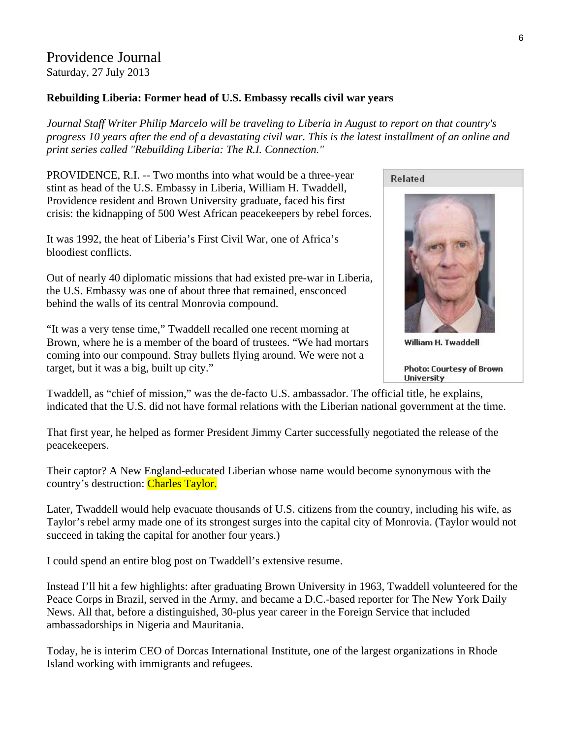### Providence Journal Saturday, 27 July 2013

### **Rebuilding Liberia: Former head of U.S. Embassy recalls civil war years**

*Journal Staff Writer Philip Marcelo will be traveling to Liberia in August to report on that country's progress 10 years after the end of a devastating civil war. This is the latest installment of an online and print series called "Rebuilding Liberia: The R.I. Connection."* 

PROVIDENCE, R.I. -- Two months into what would be a three-year stint as head of the U.S. Embassy in Liberia, William H. Twaddell, Providence resident and Brown University graduate, faced his first crisis: the kidnapping of 500 West African peacekeepers by rebel forces.

It was 1992, the heat of Liberia's First Civil War, one of Africa's bloodiest conflicts.

Out of nearly 40 diplomatic missions that had existed pre-war in Liberia, the U.S. Embassy was one of about three that remained, ensconced behind the walls of its central Monrovia compound.

"It was a very tense time," Twaddell recalled one recent morning at Brown, where he is a member of the board of trustees. "We had mortars coming into our compound. Stray bullets flying around. We were not a target, but it was a big, built up city."



William H. Twaddell

Photo: Courtesy of Brown **University** 

Twaddell, as "chief of mission," was the de-facto U.S. ambassador. The official title, he explains, indicated that the U.S. did not have formal relations with the Liberian national government at the time.

That first year, he helped as former President Jimmy Carter successfully negotiated the release of the peacekeepers.

Their captor? A New England-educated Liberian whose name would become synonymous with the country's destruction: Charles Taylor.

Later, Twaddell would help evacuate thousands of U.S. citizens from the country, including his wife, as Taylor's rebel army made one of its strongest surges into the capital city of Monrovia. (Taylor would not succeed in taking the capital for another four years.)

I could spend an entire blog post on Twaddell's extensive resume.

Instead I'll hit a few highlights: after graduating Brown University in 1963, Twaddell volunteered for the Peace Corps in Brazil, served in the Army, and became a D.C.-based reporter for The New York Daily News. All that, before a distinguished, 30-plus year career in the Foreign Service that included ambassadorships in Nigeria and Mauritania.

Today, he is interim CEO of Dorcas International Institute, one of the largest organizations in Rhode Island working with immigrants and refugees.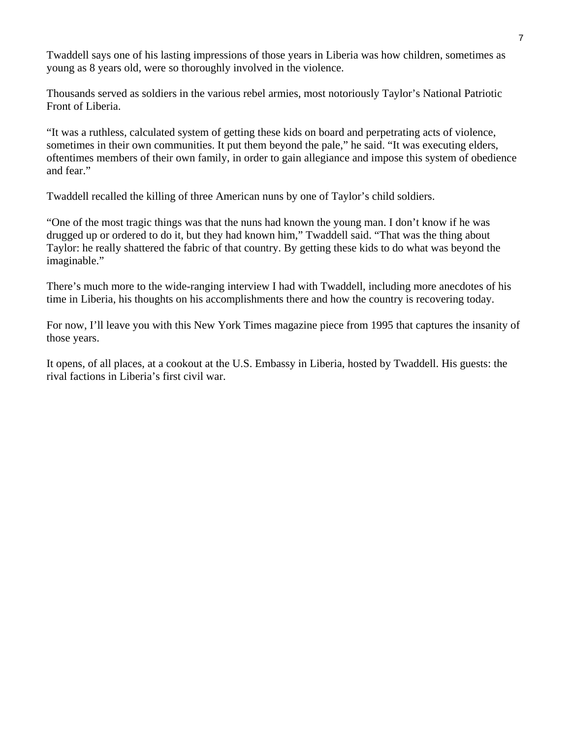Twaddell says one of his lasting impressions of those years in Liberia was how children, sometimes as young as 8 years old, were so thoroughly involved in the violence.

Thousands served as soldiers in the various rebel armies, most notoriously Taylor's National Patriotic Front of Liberia.

"It was a ruthless, calculated system of getting these kids on board and perpetrating acts of violence, sometimes in their own communities. It put them beyond the pale," he said. "It was executing elders, oftentimes members of their own family, in order to gain allegiance and impose this system of obedience and fear."

Twaddell recalled the killing of three American nuns by one of Taylor's child soldiers.

"One of the most tragic things was that the nuns had known the young man. I don't know if he was drugged up or ordered to do it, but they had known him," Twaddell said. "That was the thing about Taylor: he really shattered the fabric of that country. By getting these kids to do what was beyond the imaginable."

There's much more to the wide-ranging interview I had with Twaddell, including more anecdotes of his time in Liberia, his thoughts on his accomplishments there and how the country is recovering today.

For now, I'll leave you with this New York Times magazine piece from 1995 that captures the insanity of those years.

It opens, of all places, at a cookout at the U.S. Embassy in Liberia, hosted by Twaddell. His guests: the rival factions in Liberia's first civil war.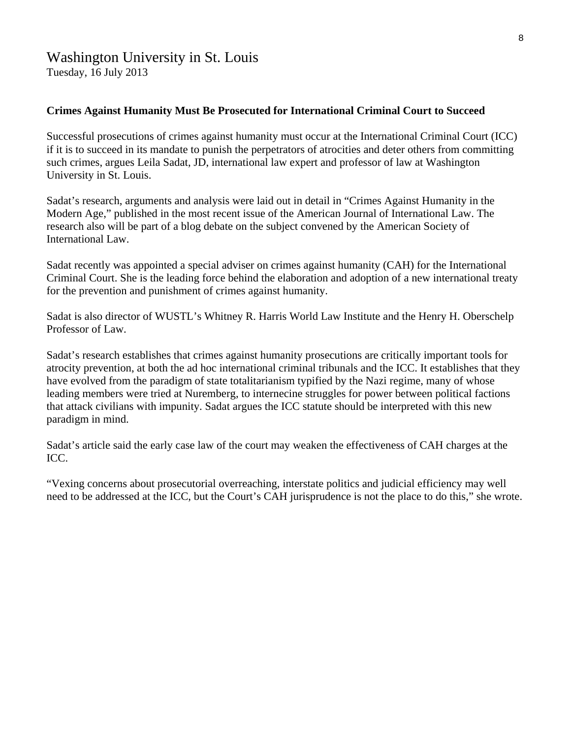# Washington University in St. Louis

Tuesday, 16 July 2013

### **Crimes Against Humanity Must Be Prosecuted for International Criminal Court to Succeed**

Successful prosecutions of crimes against humanity must occur at the International Criminal Court (ICC) if it is to succeed in its mandate to punish the perpetrators of atrocities and deter others from committing such crimes, argues Leila Sadat, JD, international law expert and professor of law at Washington University in St. Louis.

Sadat's research, arguments and analysis were laid out in detail in "Crimes Against Humanity in the Modern Age," published in the most recent issue of the American Journal of International Law. The research also will be part of a blog debate on the subject convened by the American Society of International Law.

Sadat recently was appointed a special adviser on crimes against humanity (CAH) for the International Criminal Court. She is the leading force behind the elaboration and adoption of a new international treaty for the prevention and punishment of crimes against humanity.

Sadat is also director of WUSTL's Whitney R. Harris World Law Institute and the Henry H. Oberschelp Professor of Law.

Sadat's research establishes that crimes against humanity prosecutions are critically important tools for atrocity prevention, at both the ad hoc international criminal tribunals and the ICC. It establishes that they have evolved from the paradigm of state totalitarianism typified by the Nazi regime, many of whose leading members were tried at Nuremberg, to internecine struggles for power between political factions that attack civilians with impunity. Sadat argues the ICC statute should be interpreted with this new paradigm in mind.

Sadat's article said the early case law of the court may weaken the effectiveness of CAH charges at the ICC.

"Vexing concerns about prosecutorial overreaching, interstate politics and judicial efficiency may well need to be addressed at the ICC, but the Court's CAH jurisprudence is not the place to do this," she wrote.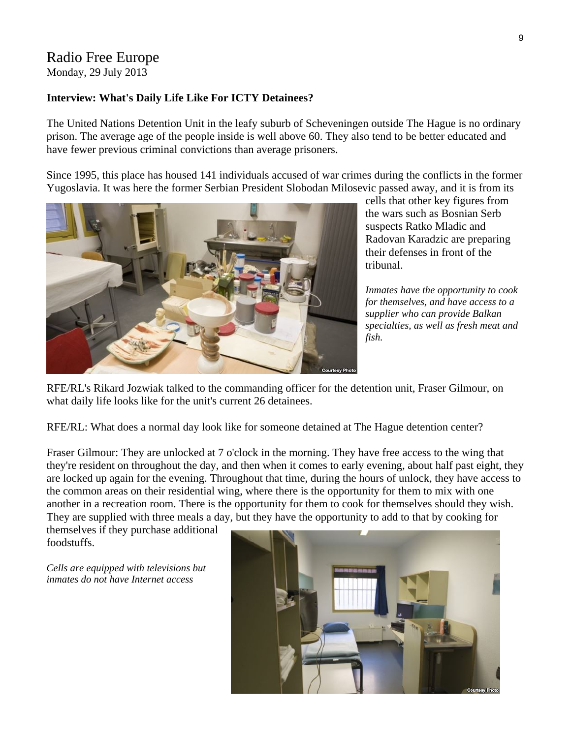### Radio Free Europe Monday, 29 July 2013

#### **Interview: What's Daily Life Like For ICTY Detainees?**

The United Nations Detention Unit in the leafy suburb of Scheveningen outside The Hague is no ordinary prison. The average age of the people inside is well above 60. They also tend to be better educated and have fewer previous criminal convictions than average prisoners.

Since 1995, this place has housed 141 individuals accused of war crimes during the conflicts in the former Yugoslavia. It was here the former Serbian President Slobodan Milosevic passed away, and it is from its



cells that other key figures from the wars such as Bosnian Serb suspects Ratko Mladic and Radovan Karadzic are preparing their defenses in front of the tribunal.

*Inmates have the opportunity to cook for themselves, and have access to a supplier who can provide Balkan specialties, as well as fresh meat and fish.* 

RFE/RL's Rikard Jozwiak talked to the commanding officer for the detention unit, Fraser Gilmour, on what daily life looks like for the unit's current 26 detainees.

RFE/RL: What does a normal day look like for someone detained at The Hague detention center?

Fraser Gilmour: They are unlocked at 7 o'clock in the morning. They have free access to the wing that they're resident on throughout the day, and then when it comes to early evening, about half past eight, they are locked up again for the evening. Throughout that time, during the hours of unlock, they have access to the common areas on their residential wing, where there is the opportunity for them to mix with one another in a recreation room. There is the opportunity for them to cook for themselves should they wish. They are supplied with three meals a day, but they have the opportunity to add to that by cooking for

themselves if they purchase additional foodstuffs.

*Cells are equipped with televisions but inmates do not have Internet access* 

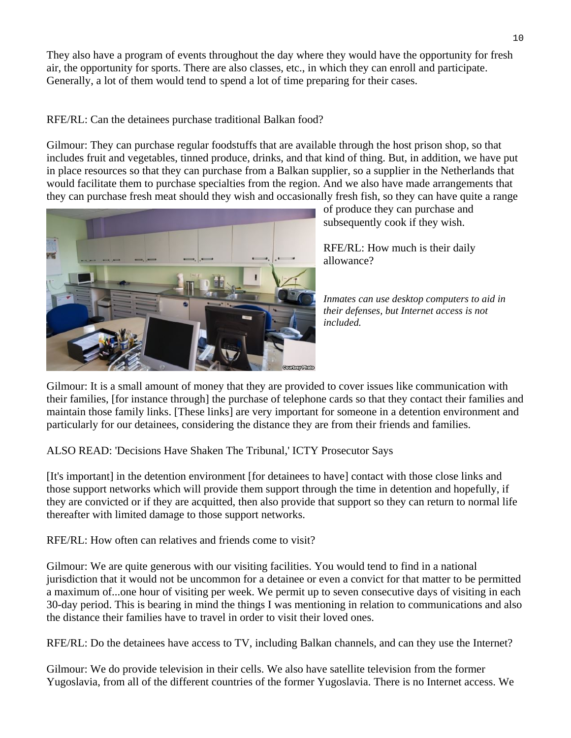They also have a program of events throughout the day where they would have the opportunity for fresh air, the opportunity for sports. There are also classes, etc., in which they can enroll and participate. Generally, a lot of them would tend to spend a lot of time preparing for their cases.

RFE/RL: Can the detainees purchase traditional Balkan food?

Gilmour: They can purchase regular foodstuffs that are available through the host prison shop, so that includes fruit and vegetables, tinned produce, drinks, and that kind of thing. But, in addition, we have put in place resources so that they can purchase from a Balkan supplier, so a supplier in the Netherlands that would facilitate them to purchase specialties from the region. And we also have made arrangements that they can purchase fresh meat should they wish and occasionally fresh fish, so they can have quite a range



of produce they can purchase and subsequently cook if they wish.

RFE/RL: How much is their daily allowance?

*Inmates can use desktop computers to aid in their defenses, but Internet access is not included.* 

Gilmour: It is a small amount of money that they are provided to cover issues like communication with their families, [for instance through] the purchase of telephone cards so that they contact their families and maintain those family links. [These links] are very important for someone in a detention environment and particularly for our detainees, considering the distance they are from their friends and families.

ALSO READ: 'Decisions Have Shaken The Tribunal,' ICTY Prosecutor Says

[It's important] in the detention environment [for detainees to have] contact with those close links and those support networks which will provide them support through the time in detention and hopefully, if they are convicted or if they are acquitted, then also provide that support so they can return to normal life thereafter with limited damage to those support networks.

RFE/RL: How often can relatives and friends come to visit?

Gilmour: We are quite generous with our visiting facilities. You would tend to find in a national jurisdiction that it would not be uncommon for a detainee or even a convict for that matter to be permitted a maximum of...one hour of visiting per week. We permit up to seven consecutive days of visiting in each 30-day period. This is bearing in mind the things I was mentioning in relation to communications and also the distance their families have to travel in order to visit their loved ones.

RFE/RL: Do the detainees have access to TV, including Balkan channels, and can they use the Internet?

Gilmour: We do provide television in their cells. We also have satellite television from the former Yugoslavia, from all of the different countries of the former Yugoslavia. There is no Internet access. We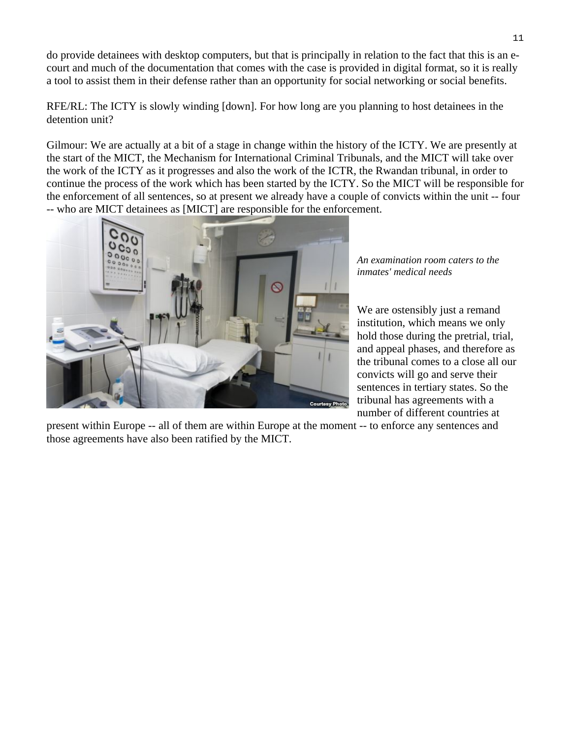do provide detainees with desktop computers, but that is principally in relation to the fact that this is an ecourt and much of the documentation that comes with the case is provided in digital format, so it is really a tool to assist them in their defense rather than an opportunity for social networking or social benefits.

RFE/RL: The ICTY is slowly winding [down]. For how long are you planning to host detainees in the detention unit?

Gilmour: We are actually at a bit of a stage in change within the history of the ICTY. We are presently at the start of the MICT, the Mechanism for International Criminal Tribunals, and the MICT will take over the work of the ICTY as it progresses and also the work of the ICTR, the Rwandan tribunal, in order to continue the process of the work which has been started by the ICTY. So the MICT will be responsible for the enforcement of all sentences, so at present we already have a couple of convicts within the unit -- four -- who are MICT detainees as [MICT] are responsible for the enforcement.



*An examination room caters to the inmates' medical needs* 

We are ostensibly just a remand institution, which means we only hold those during the pretrial, trial, and appeal phases, and therefore as the tribunal comes to a close all our convicts will go and serve their sentences in tertiary states. So the tribunal has agreements with a number of different countries at

present within Europe -- all of them are within Europe at the moment -- to enforce any sentences and those agreements have also been ratified by the MICT.